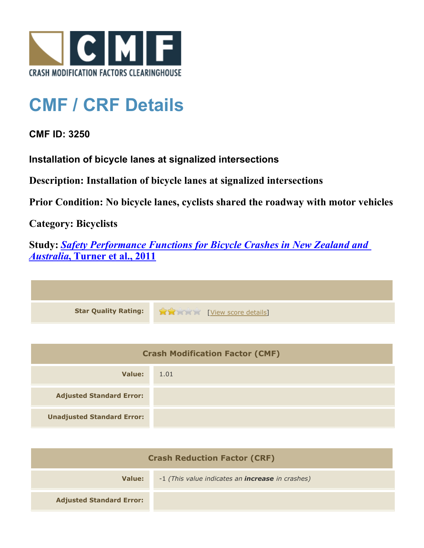

## **CMF / CRF Details**

## **CMF ID: 3250**

**Installation of bicycle lanes at signalized intersections**

**Description: Installation of bicycle lanes at signalized intersections**

**Prior Condition: No bicycle lanes, cyclists shared the roadway with motor vehicles**

**Category: Bicyclists**

**Study:** *[Safety Performance Functions for Bicycle Crashes in New Zealand and](http://www.cmfclearinghouse.org/study_detail.cfm?stid=230) [Australia](http://www.cmfclearinghouse.org/study_detail.cfm?stid=230)***[, Turner et al., 2011](http://www.cmfclearinghouse.org/study_detail.cfm?stid=230)**



| <b>Crash Modification Factor (CMF)</b> |      |
|----------------------------------------|------|
| Value:                                 | 1.01 |
| <b>Adjusted Standard Error:</b>        |      |
| <b>Unadjusted Standard Error:</b>      |      |

| <b>Crash Reduction Factor (CRF)</b> |                                                         |
|-------------------------------------|---------------------------------------------------------|
| Value:                              | -1 (This value indicates an <b>increase</b> in crashes) |
| <b>Adjusted Standard Error:</b>     |                                                         |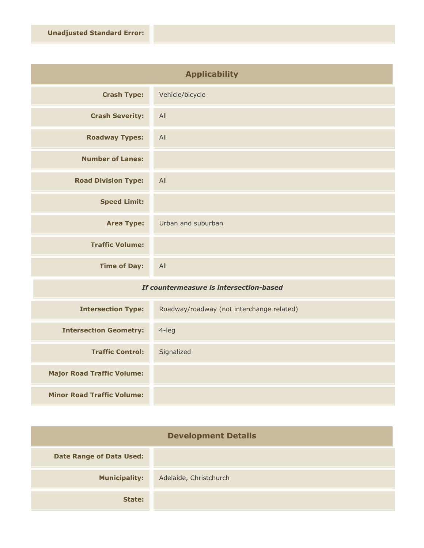| <b>Applicability</b>       |                    |
|----------------------------|--------------------|
| <b>Crash Type:</b>         | Vehicle/bicycle    |
| <b>Crash Severity:</b>     | All                |
| <b>Roadway Types:</b>      | All                |
| <b>Number of Lanes:</b>    |                    |
| <b>Road Division Type:</b> | All                |
| <b>Speed Limit:</b>        |                    |
| <b>Area Type:</b>          | Urban and suburban |
| <b>Traffic Volume:</b>     |                    |
| <b>Time of Day:</b>        | All                |

## *If countermeasure is intersection-based*

| <b>Intersection Type:</b>         | Roadway/roadway (not interchange related) |
|-----------------------------------|-------------------------------------------|
| <b>Intersection Geometry:</b>     | $4$ -leg                                  |
| <b>Traffic Control:</b>           | Signalized                                |
| <b>Major Road Traffic Volume:</b> |                                           |
| <b>Minor Road Traffic Volume:</b> |                                           |

| <b>Development Details</b>      |                        |
|---------------------------------|------------------------|
| <b>Date Range of Data Used:</b> |                        |
| <b>Municipality:</b>            | Adelaide, Christchurch |
| State:                          |                        |